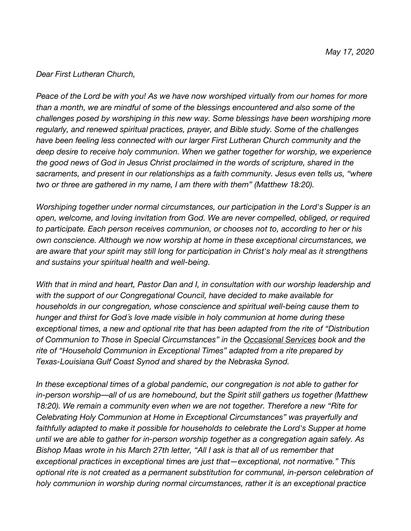## *Dear First Lutheran Church,*

*Peace of the Lord be with you! As we have now worshiped virtually from our homes for more than a month, we are mindful of some of the blessings encountered and also some of the challenges posed by worshiping in this new way. Some blessings have been worshiping more regularly, and renewed spiritual practices, prayer, and Bible study. Some of the challenges have been feeling less connected with our larger First Lutheran Church community and the deep desire to receive holy communion. When we gather together for worship, we experience the good news of God in Jesus Christ proclaimed in the words of scripture, shared in the sacraments, and present in our relationships as a faith community. Jesus even tells us, "where two or three are gathered in my name, I am there with them" (Matthew 18:20).*

*Worshiping together under normal circumstances, our participation in the Lord's Supper is an open, welcome, and loving invitation from God. We are never compelled, obliged, or required to participate. Each person receives communion, or chooses not to, according to her or his own conscience. Although we now worship at home in these exceptional circumstances, we are aware that your spirit may still long for participation in Christ's holy meal as it strengthens and sustains your spiritual health and well-being.*

*With that in mind and heart, Pastor Dan and I, in consultation with our worship leadership and with the support of our Congregational Council, have decided to make available for households in our congregation, whose conscience and spiritual well-being cause them to hunger and thirst for God´s love made visible in holy communion at home during these exceptional times, a new and optional rite that has been adapted from the rite of "Distribution of Communion to Those in Special Circumstances" in the Occasional Services book and the rite of "Household Communion in Exceptional Times" adapted from a rite prepared by Texas-Louisiana Gulf Coast Synod and shared by the Nebraska Synod.*

*In these exceptional times of a global pandemic, our congregation is not able to gather for in-person worship––all of us are homebound, but the Spirit still gathers us together (Matthew 18:20). We remain a community even when we are not together. Therefore a new "Rite for Celebrating Holy Communion at Home in Exceptional Circumstances" was prayerfully and faithfully adapted to make it possible for households to celebrate the Lord's Supper at home until we are able to gather for in-person worship together as a congregation again safely. As Bishop Maas wrote in his March 27th letter, "All I ask is that all of us remember that exceptional practices in exceptional times are just that—exceptional, not normative." This optional rite is not created as a permanent substitution for communal, in-person celebration of holy communion in worship during normal circumstances, rather it is an exceptional practice*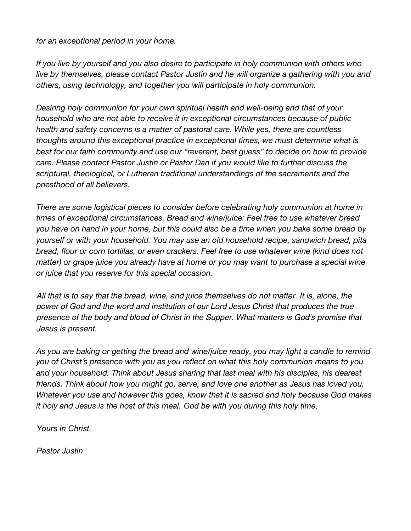*for an exceptional period in your home.*

*If you live by yourself and you also desire to participate in holy communion with others who live by themselves, please contact Pastor Justin and he will organize a gathering with you and others, using technology, and together you will participate in holy communion.*

*Desiring holy communion for your own spiritual health and well-being and that of your household who are not able to receive it in exceptional circumstances because of public health and safety concerns is a matter of pastoral care. While yes, there are countless thoughts around this exceptional practice in exceptional times, we must determine what is best for our faith community and use our "reverent, best guess" to decide on how to provide care. Please contact Pastor Justin or Pastor Dan if you would like to further discuss the scriptural, theological, or Lutheran traditional understandings of the sacraments and the priesthood of all believers.*

*There are some logistical pieces to consider before celebrating holy communion at home in times of exceptional circumstances. Bread and wine/juice: Feel free to use whatever bread you have on hand in your home, but this could also be a time when you bake some bread by yourself or with your household. You may use an old household recipe, sandwich bread, pita bread, flour or corn tortillas, or even crackers. Feel free to use whatever wine (kind does not matter) or grape juice you already have at home or you may want to purchase a special wine or juice that you reserve for this special occasion.*

All that is to say that the bread, wine, and juice themselves do not matter. It is, alone, the power of God and the word and institution of our Lord Jesus Christ that produces the true presence of the body and blood of Christ in the Supper. What matters is God's promise that Jesus is present.

*As you are baking or getting the bread and wine/juice ready, you may light a candle to remind you of Christ´s presence with you as you reflect on what this holy communion means to you and your household. Think about Jesus sharing that last meal with his disciples, his dearest friends. Think about how you might go, serve, and love one another as Jesus has loved you. Whatever you use and however this goes, know that it is sacred and holy because God makes it holy and Jesus is the host of this meal. God be with you during this holy time,*

*Yours in Christ,*

*Pastor Justin*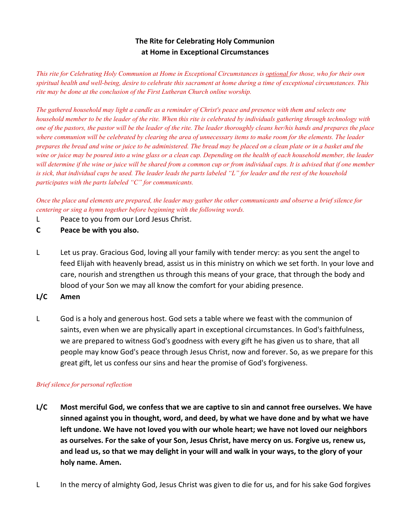# **The Rite for Celebrating Holy Communion at Home in Exceptional Circumstances**

This rite for Celebrating Holy Communion at Home in Exceptional Circumstances is optional for those, who for their own spiritual health and well-being, desire to celebrate this sacrament at home during a time of exceptional circumstances. This *rite may be done at the conclusion of the First Lutheran Church online worship.*

The gathered household may light a candle as a reminder of Christ's peace and presence with them and selects one household member to be the leader of the rite. When this rite is celebrated by individuals gathering through technology with one of the pastors, the pastor will be the leader of the rite. The leader thoroughly cleans her/his hands and prepares the place where communion will be celebrated by clearing the area of unnecessary items to make room for the elements. The leader prepares the bread and wine or juice to be administered. The bread may be placed on a clean plate or in a basket and the wine or juice may be poured into a wine glass or a clean cup. Depending on the health of each household member, the leader will determine if the wine or juice will be shared from a common cup or from individual cups. It is advised that if one member is sick, that individual cups be used. The leader leads the parts labeled "L" for leader and the rest of the household *participates with the parts labeled "C" for communicants.*

Once the place and elements are prepared, the leader may gather the other communicants and observe a brief silence for *centering or sing a hymn together before beginning with the following words.*

- L Peace to you from our Lord Jesus Christ.
- **C Peace be with you also.**
- L Let us pray. Gracious God, loving all your family with tender mercy: as you sent the angel to feed Elijah with heavenly bread, assist us in this ministry on which we set forth. In your love and care, nourish and strengthen us through this means of your grace, that through the body and blood of your Son we may all know the comfort for your abiding presence.
- **L/C Amen**
- L God is a holy and generous host. God sets a table where we feast with the communion of saints, even when we are physically apart in exceptional circumstances. In God's faithfulness, we are prepared to witness God's goodness with every gift he has given us to share, that all people may know God's peace through Jesus Christ, now and forever. So, as we prepare for this great gift, let us confess our sins and hear the promise of God's forgiveness.

## *Brief silence for personal reflection*

- **L/C Most merciful God, we confess that we are captive to sin and cannot free ourselves. We have sinned against you in thought, word, and deed, by what we have done and by what we have left undone. We have not loved you with our whole heart; we have not loved our neighbors as ourselves. For the sake of your Son, Jesus Christ, have mercy on us. Forgive us, renew us, and lead us, so that we may delight in your will and walk in your ways, to the glory of your holy name. Amen.**
- L In the mercy of almighty God, Jesus Christ was given to die for us, and for his sake God forgives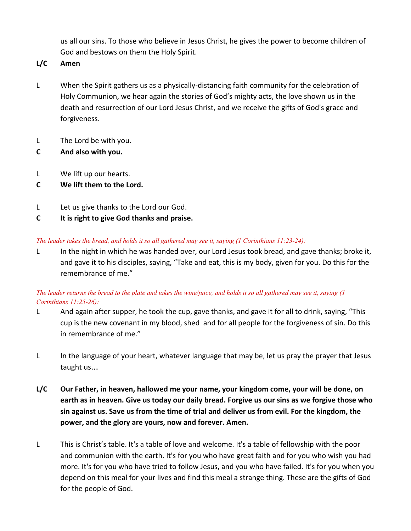us all our sins. To those who believe in Jesus Christ, he gives the power to become children of God and bestows on them the Holy Spirit.

**L/C Amen**

- L When the Spirit gathers us as a physically-distancing faith community for the celebration of Holy Communion, we hear again the stories of God's mighty acts, the love shown us in the death and resurrection of our Lord Jesus Christ, and we receive the gifts of God's grace and forgiveness.
- L The Lord be with you.
- **C And also with you.**
- L We lift up our hearts.
- **C We lift them to the Lord.**
- L Let us give thanks to the Lord our God.
- **C It is right to give God thanks and praise.**

## The leader takes the bread, and holds it so all gathered may see it, saying  $(1$  Corinthians  $11:23-24$ :

L In the night in which he was handed over, our Lord Jesus took bread, and gave thanks; broke it, and gave it to his disciples, saying, "Take and eat, this is my body, given for you. Do this for the remembrance of me."

## The leader returns the bread to the plate and takes the wine/juice, and holds it so all gathered may see it, saying  $(1)$ *Corinthians 11:25-26):*

- L And again after supper, he took the cup, gave thanks, and gave it for all to drink, saying, "This cup is the new covenant in my blood, shed and for all people for the forgiveness of sin. Do this in remembrance of me."
- L In the language of your heart, whatever language that may be, let us pray the prayer that Jesus taught us…
- **L/C Our Father, in heaven, hallowed me your name, your kingdom come, your will be done, on earth as in heaven. Give us today our daily bread. Forgive us our sins as we forgive those who sin against us. Save us from the time of trial and deliver us from evil. For the kingdom, the power, and the glory are yours, now and forever. Amen.**
- L This is Christ's table. It's a table of love and welcome. It's a table of fellowship with the poor and communion with the earth. It's for you who have great faith and for you who wish you had more. It's for you who have tried to follow Jesus, and you who have failed. It's for you when you depend on this meal for your lives and find this meal a strange thing. These are the gifts of God for the people of God.